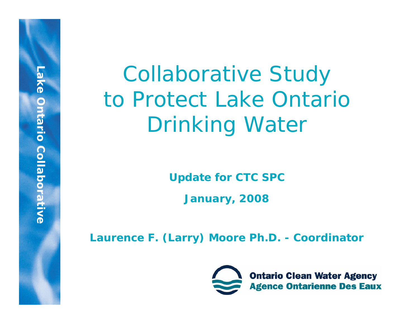Collaborative Study to Protect Lake Ontario Drinking Water

**Update for CTC SPC**

**January, 2008**

**Laurence F. (Larry) Moore Ph.D. - Coordinator**

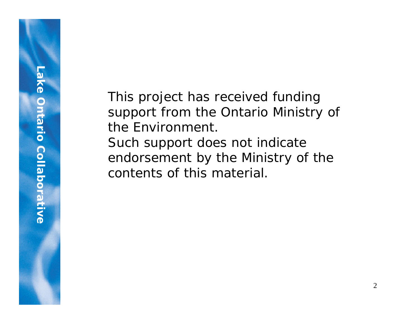This project has received funding support from the Ontario Ministry of the Environment. Such support does not indicate endorsement by the Ministry of the contents of this material.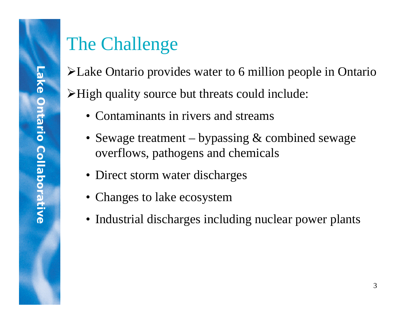## The Challenge

¾Lake Ontario provides water to 6 million people in Ontario  $\triangleright$ High quality source but threats could include:

- Contaminants in rivers and streams
- Sewage treatment bypassing & combined sewage overflows, pathogens and chemicals
- Direct storm water discharges
- Changes to lake ecosystem
- Industrial discharges including nuclear power plants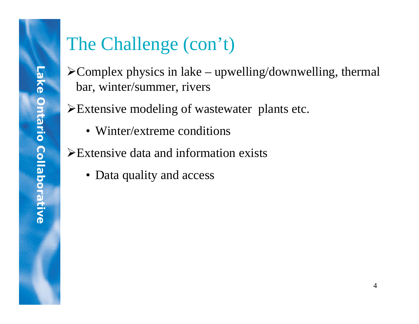# The Challenge (con't)

- $\triangle$ Complex physics in lake upwelling/downwelling, thermal bar, winter/summer, rivers
- ¾Extensive modeling of wastewater plants etc.
	- Winter/extreme conditions
- ¾Extensive data and information exists
	- Data quality and access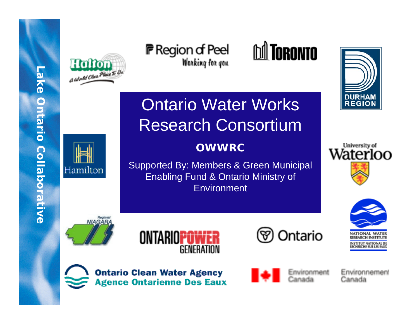

**P** Region of Peel Working for you



Ontario Water Works Research Consortium

#### **OWWRC**

Supported By: Members & Green Municipal Enabling Fund & Ontario Ministry of **Environment** 

University of Waterloo

**DURHAM**<br>REGION





NIAGARA

Hamilton







**Ontario Clean Water Agency Agence Ontarienne Des Eaux** 



Environnement Canada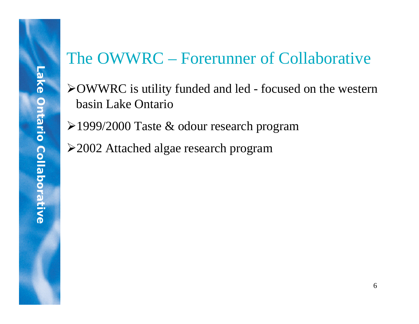### The OWWRC – Forerunner of Collaborative

- ¾OWWRC is utility funded and led focused on the western basin Lake Ontario
- ¾1999/2000 Taste & odour research program
- ¾2002 Attached algae research program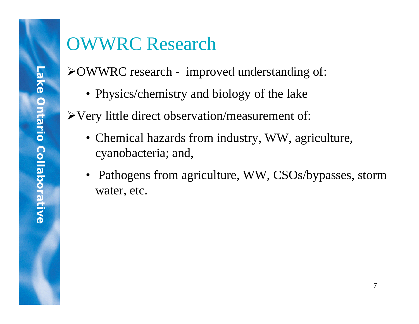# OWWRC Research

¾OWWRC research - improved understanding of:

• Physics/chemistry and biology of the lake

¾Very little direct observation/measurement of:

- Chemical hazards from industry, WW, agriculture, cyanobacteria; and,
- Pathogens from agriculture, WW, CSOs/bypasses, storm water, etc.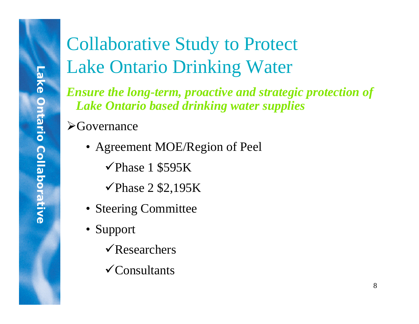# Collaborative Study to Protect Lake Ontario Drinking Water

*Ensure the long-term, proactive and strategic protection of Lake Ontario based drinking water supplies*

 $\triangleright$  Governance

• Agreement MOE/Region of Peel

 $\checkmark$  Phase 1 \$595K

 $\checkmark$  Phase 2 \$2,195K

- Steering Committee
- Support
	- $\sqrt{\text{Researchers}}$
	- $\checkmark$ Consultants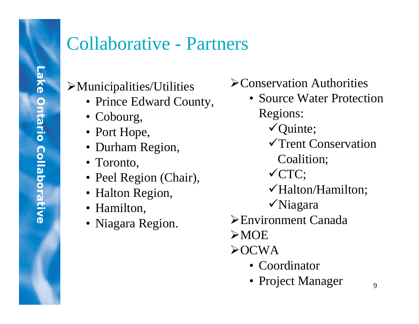### Collaborative - Partners

### $\blacktriangleright$  Municipalities/Utilities

- Prince Edward County,
- Cobourg,
- Port Hope,
- Durham Region,
- Toronto,
- Peel Region (Chair),
- Halton Region,
- Hamilton,
- Niagara Region.
- ¾Conservation Authorities
- Source Water Protection Regions:  $\checkmark$  Quinte; 9Trent Conservation Coalition;  $\sqrt{CTC}$ ; 9Halton/Hamilton;  $\sqrt{N}$ iagara ¾Environment Canada  $\triangleright$ MOE  $\triangle$ OCWA
	- Coordinator
	- Project Manager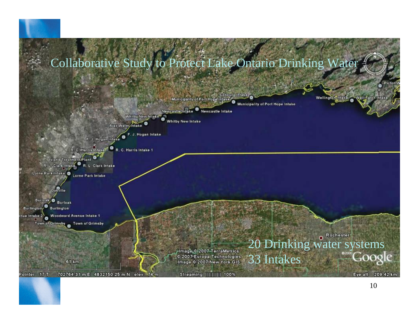

#### 10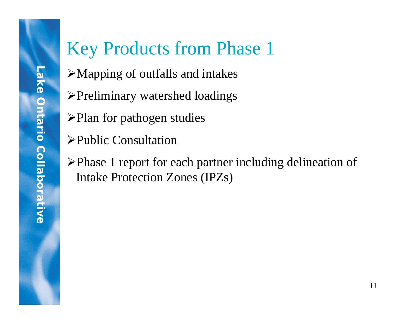# Key Products from Phase 1

- $\triangleright$ Mapping of outfalls and intakes
- ¾Preliminary watershed loadings
- ¾Plan for pathogen studies
- ¾Public Consultation
- ¾Phase 1 report for each partner including delineation of Intake Protection Zones (IPZs)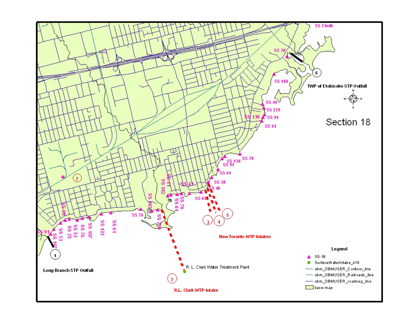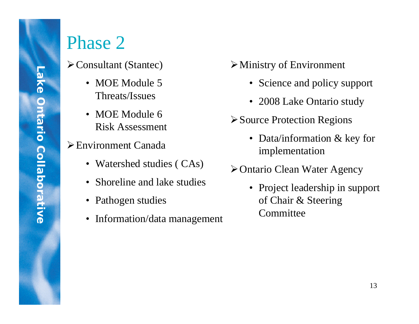# Phase 2

- ¾Consultant (Stantec)
	- MOE Module 5 Threats/Issues
	- MOE Module 6 Risk Assessment
- ¾Environment Canada
	- Watershed studies (CAs)
	- Shoreline and lake studies
	- Pathogen studies
	- Information/data management
- $\triangleright$  Ministry of Environment
	- Science and policy support
	- 2008 Lake Ontario study
- ¾Source Protection Regions
	- Data/information & key for implementation
- ¾Ontario Clean Water Agency
	- Project leadership in support of Chair & Steering **Committee**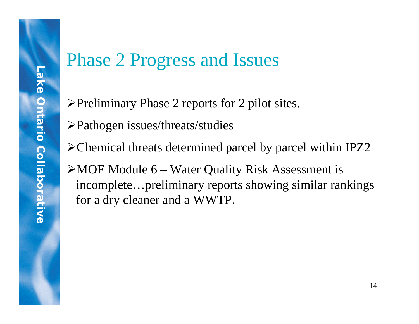# Phase 2 Progress and Issues

- ¾Preliminary Phase 2 reports for 2 pilot sites.
- ¾Pathogen issues/threats/studies
- ¾Chemical threats determined parcel by parcel within IPZ2
- $\triangleright$  MOE Module 6 Water Quality Risk Assessment is incomplete…preliminary reports showing similar rankings for a dry cleaner and a WWTP.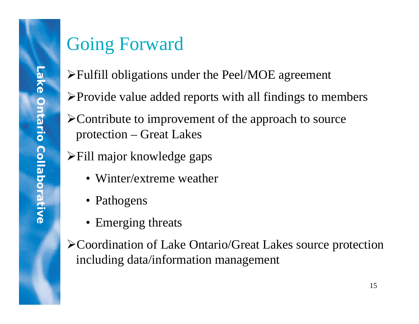## Going Forward

- $\blacktriangleright$  Fulfill obligations under the Peel/MOE agreement
- $\triangleright$  Provide value added reports with all findings to members
- ¾Contribute to improvement of the approach to source protection – Great Lakes
- ¾Fill major knowledge gaps
	- Winter/extreme weather
	- Pathogens
	- Emerging threats
- ¾Coordination of Lake Ontario/Great Lakes source protection including data/information management